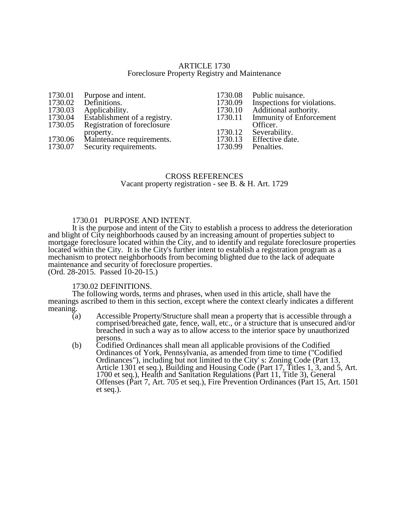### ARTICLE 1730 Foreclosure Property Registry and Maintenance

| Purpose and intent.          |
|------------------------------|
| Definitions.                 |
| Applicability.               |
| Establishment of a registry. |
| Registration of foreclosure  |
| property.                    |
| Maintenance requirements.    |
| Security requirements.       |
|                              |

- 1730.08 Public nuisance.<br>1730.09 Inspections for v 1730.09 Inspections for violations.<br>1730.10 Additional authority. 1730.10 Additional authority.<br>1730.11 Immunity of Enforcer Immunity of Enforcement Officer. 1730.12 Severability.<br>1730.13 Effective date 1730.13 Effective date.<br>1730.99 Penalties.
- Penalties.

## CROSS REFERENCES Vacant property registration - see B. & H. Art. 1729

## 1730.01 PURPOSE AND INTENT.

It is the purpose and intent of the City to establish a process to address the deterioration and blight of City neighborhoods caused by an increasing amount of properties subject to mortgage foreclosure located within the City, and to identify and regulate foreclosure properties located within the City. It is the City's further intent to establish a registration program as a mechanism to protect neighborhoods from becoming blighted due to the lack of adequate maintenance and security of foreclosure properties. (Ord. 28-2015. Passed 10-20-15.)

#### 1730.02 DEFINITIONS.

The following words, terms and phrases, when used in this article, shall have the meanings ascribed to them in this section, except where the context clearly indicates a different meaning.  $(a)$ 

- Accessible Property/Structure shall mean a property that is accessible through a comprised/breached gate, fence, wall, etc., or a structure that is unsecured and/or breached in such a way as to allow access to the interior space by unauthorized persons.
- (b) Codified Ordinances shall mean all applicable provisions of the Codified Ordinances of York, Pennsylvania, as amended from time to time ("Codified Ordinances"), including but not limited to the City' s: Zoning Code (Part 13, Article 1301 et seq.), Building and Housing Code (Part 17, Titles 1, 3, and 5, Art. 1700 et seq.), Health and Sanitation Regulations (Part 11, Title 3), General Offenses (Part 7, Art. 705 et seq.), Fire Prevention Ordinances (Part 15, Art. 1501 et seq.).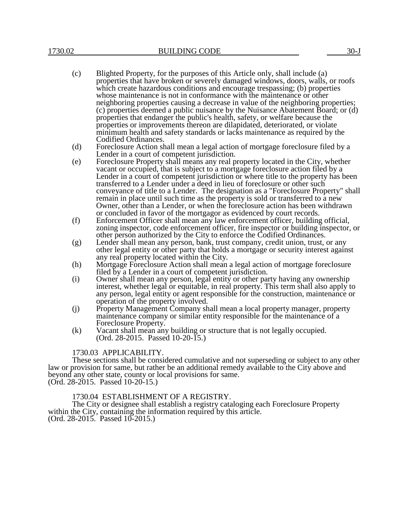- (c) Blighted Property, for the purposes of this Article only, shall include (a) properties that have broken or severely damaged windows, doors, walls, or roofs which create hazardous conditions and encourage trespassing; (b) properties whose maintenance is not in conformance with the maintenance or other neighboring properties causing a decrease in value of the neighboring properties; (c) properties deemed a public nuisance by the Nuisance Abatement Board; or (d) properties that endanger the public's health, safety, or welfare because the properties or improvements thereon are dilapidated, deteriorated, or violate minimum health and safety standards or lacks maintenance as required by the Codified Ordinances.
- (d) Foreclosure Action shall mean a legal action of mortgage foreclosure filed by a Lender in a court of competent jurisdiction.
- (e) Foreclosure Property shall means any real property located in the City, whether vacant or occupied, that is subject to a mortgage foreclosure action filed by a Lender in a court of competent jurisdiction or where title to the property has been transferred to a Lender under a deed in lieu of foreclosure or other such conveyance of title to a Lender. The designation as a "Foreclosure Property" shall remain in place until such time as the property is sold or transferred to a new Owner, other than a Lender, or when the foreclosure action has been withdrawn or concluded in favor of the mortgagor as evidenced by court records.
- (f) Enforcement Officer shall mean any law enforcement officer, building official, zoning inspector, code enforcement officer, fire inspector or building inspector, or other person authorized by the City to enforce the Codified Ordinances.
- (g) Lender shall mean any person, bank, trust company, credit union, trust, or any other legal entity or other party that holds a mortgage or security interest against any real property located within the City.
- (h) Mortgage Foreclosure Action shall mean a legal action of mortgage foreclosure filed by a Lender in a court of competent jurisdiction.
- (i) Owner shall mean any person, legal entity or other party having any ownership interest, whether legal or equitable, in real property. This term shall also apply to any person, legal entity or agent responsible for the construction, maintenance or operation of the property involved.
- (j) Property Management Company shall mean a local property manager, property maintenance company or similar entity responsible for the maintenance of a Foreclosure Property.
- (k) Vacant shall mean any building or structure that is not legally occupied. (Ord. 28-2015. Passed 10-20-15.)

## 1730.03 APPLICABILITY.

These sections shall be considered cumulative and not superseding or subject to any other law or provision for same, but rather be an additional remedy available to the City above and beyond any other state, county or local provisions for same. (Ord. 28-2015. Passed 10-20-15.)

1730.04 ESTABLISHMENT OF A REGISTRY.

The City or designee shall establish a registry cataloging each Foreclosure Property within the City, containing the information required by this article. (Ord. 28-2015. Passed 10-2015.)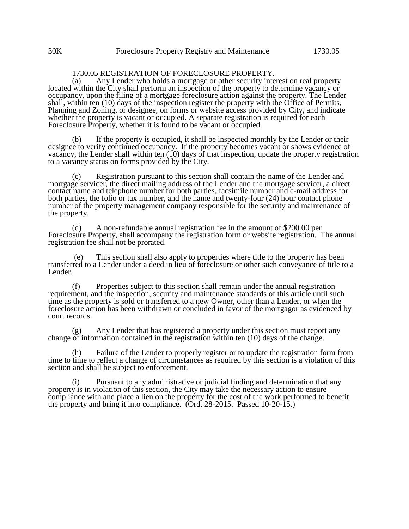# 1730.05 REGISTRATION OF FORECLOSURE PROPERTY.<br>(a) Any Lender who holds a mortgage or other security inter-

Any Lender who holds a mortgage or other security interest on real property located within the City shall perform an inspection of the property to determine vacancy or occupancy, upon the filing of a mortgage foreclosure action against the property. The Lender shall, within ten (10) days of the inspection register the property with the Office of Permits, Planning and Zoning, or designee, on forms or website access provided by City, and indicate whether the property is vacant or occupied. A separate registration is required for each Foreclosure Property, whether it is found to be vacant or occupied.

(b) If the property is occupied, it shall be inspected monthly by the Lender or their designee to verify continued occupancy. If the property becomes vacant or shows evidence of vacancy, the Lender shall within ten (10) days of that inspection, update the property registration to a vacancy status on forms provided by the City.

(c) Registration pursuant to this section shall contain the name of the Lender and mortgage servicer, the direct mailing address of the Lender and the mortgage servicer, a direct contact name and telephone number for both parties, facsimile number and e-mail address for both parties, the folio or tax number, and the name and twenty-four (24) hour contact phone number of the property management company responsible for the security and maintenance of the property.

(d) A non-refundable annual registration fee in the amount of \$200.00 per Foreclosure Property, shall accompany the registration form or website registration. The annual registration fee shall not be prorated.

(e) This section shall also apply to properties where title to the property has been transferred to a Lender under a deed in lieu of foreclosure or other such conveyance of title to a Lender.

(f) Properties subject to this section shall remain under the annual registration requirement, and the inspection, security and maintenance standards of this article until such time as the property is sold or transferred to a new Owner, other than a Lender, or when the foreclosure action has been withdrawn or concluded in favor of the mortgagor as evidenced by court records.

(g) Any Lender that has registered a property under this section must report any change of information contained in the registration within ten (10) days of the change.

(h) Failure of the Lender to properly register or to update the registration form from time to time to reflect a change of circumstances as required by this section is a violation of this section and shall be subject to enforcement.

(i) Pursuant to any administrative or judicial finding and determination that any property is in violation of this section, the City may take the necessary action to ensure compliance with and place a lien on the property for the cost of the work performed to benefit the property and bring it into compliance. (Ord. 28-2015. Passed 10-20-15.)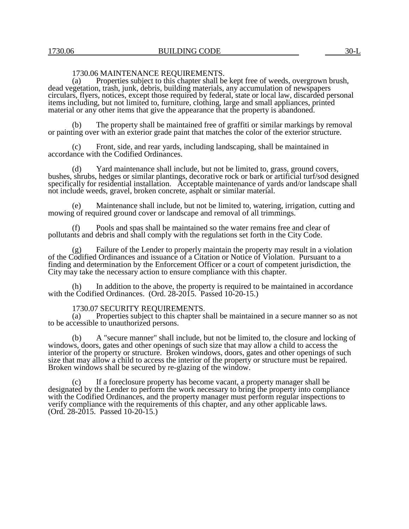## 1730.06 MAINTENANCE REQUIREMENTS.<br>(a) Properties subject to this chapter shall be

Properties subject to this chapter shall be kept free of weeds, overgrown brush, dead vegetation, trash, junk, debris, building materials, any accumulation of newspapers circulars, flyers, notices, except those required by federal, state or local law, discarded personal items including, but not limited to, furniture, clothing, large and small appliances, printed material or any other items that give the appearance that the property is abandoned.

The property shall be maintained free of graffiti or similar markings by removal or painting over with an exterior grade paint that matches the color of the exterior structure.

(c) Front, side, and rear yards, including landscaping, shall be maintained in accordance with the Codified Ordinances.

(d) Yard maintenance shall include, but not be limited to, grass, ground covers, bushes, shrubs, hedges or similar plantings, decorative rock or bark or artificial turf/sod designed specifically for residential installation. Acceptable maintenance of yards and/or landscape shall not include weeds, gravel, broken concrete, asphalt or similar material.

(e) Maintenance shall include, but not be limited to, watering, irrigation, cutting and mowing of required ground cover or landscape and removal of all trimmings.

(f) Pools and spas shall be maintained so the water remains free and clear of pollutants and debris and shall comply with the regulations set forth in the City Code.

(g) Failure of the Lender to properly maintain the property may result in a violation of the Codified Ordinances and issuance of a Citation or Notice of Violation. Pursuant to a finding and determination by the Enforcement Officer or a court of competent jurisdiction, the City may take the necessary action to ensure compliance with this chapter.

(h) In addition to the above, the property is required to be maintained in accordance with the Codified Ordinances. (Ord. 28-2015. Passed 10-20-15.)

# 1730.07 SECURITY REQUIREMENTS.<br>(a) Properties subject to this chapter s

Properties subject to this chapter shall be maintained in a secure manner so as not to be accessible to unauthorized persons.

(b) A "secure manner" shall include, but not be limited to, the closure and locking of windows, doors, gates and other openings of such size that may allow a child to access the interior of the property or structure. Broken windows, doors, gates and other openings of such size that may allow a child to access the interior of the property or structure must be repaired. Broken windows shall be secured by re-glazing of the window.

(c) If a foreclosure property has become vacant, a property manager shall be designated by the Lender to perform the work necessary to bring the property into compliance with the Codified Ordinances, and the property manager must perform regular inspections to verify compliance with the requirements of this chapter, and any other applicable laws. (Ord. 28-2015. Passed 10-20-15.)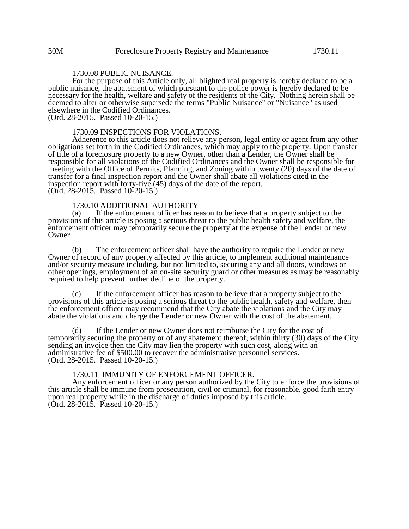## 1730.08 PUBLIC NUISANCE.

For the purpose of this Article only, all blighted real property is hereby declared to be a public nuisance, the abatement of which pursuant to the police power is hereby declared to be necessary for the health, welfare and safety of the residents of the City. Nothing herein shall be deemed to alter or otherwise supersede the terms "Public Nuisance" or "Nuisance" as used elsewhere in the Codified Ordinances.

(Ord. 28-2015. Passed 10-20-15.)

#### 1730.09 INSPECTIONS FOR VIOLATIONS.

Adherence to this article does not relieve any person, legal entity or agent from any other obligations set forth in the Codified Ordinances, which may apply to the property. Upon transfer of title of a foreclosure property to a new Owner, other than a Lender, the Owner shall be responsible for all violations of the Codified Ordinances and the Owner shall be responsible for meeting with the Office of Permits, Planning, and Zoning within twenty (20) days of the date of transfer for a final inspection report and the Owner shall abate all violations cited in the inspection report with forty-five (45) days of the date of the report. (Ord. 28-2015. Passed 10-20-15.)

#### 1730.10 ADDITIONAL AUTHORITY

(a) If the enforcement officer has reason to believe that a property subject to the provisions of this article is posing a serious threat to the public health safety and welfare, the enforcement officer may temporarily secure the property at the expense of the Lender or new Owner.

(b) The enforcement officer shall have the authority to require the Lender or new Owner of record of any property affected by this article, to implement additional maintenance and/or security measure including, but not limited to, securing any and all doors, windows or other openings, employment of an on-site security guard or other measures as may be reasonably required to help prevent further decline of the property.

If the enforcement officer has reason to believe that a property subject to the provisions of this article is posing a serious threat to the public health, safety and welfare, then the enforcement officer may recommend that the City abate the violations and the City may abate the violations and charge the Lender or new Owner with the cost of the abatement.

(d) If the Lender or new Owner does not reimburse the City for the cost of temporarily securing the property or of any abatement thereof, within thirty (30) days of the City sending an invoice then the City may lien the property with such cost, along with an administrative fee of \$500.00 to recover the administrative personnel services. (Ord. 28-2015. Passed 10-20-15.)

#### 1730.11 IMMUNITY OF ENFORCEMENT OFFICER.

Any enforcement officer or any person authorized by the City to enforce the provisions of this article shall be immune from prosecution, civil or criminal, for reasonable, good faith entry upon real property while in the discharge of duties imposed by this article. (Ord. 28-2015. Passed 10-20-15.)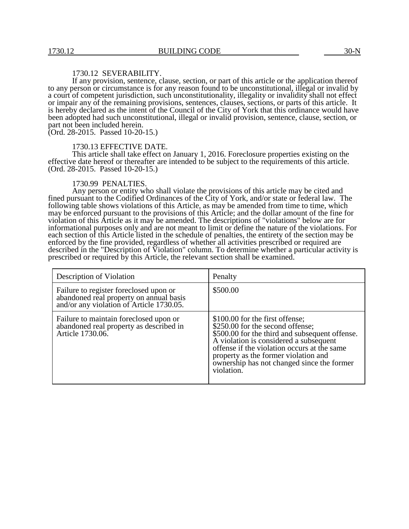### 1730.12 SEVERABILITY.

If any provision, sentence, clause, section, or part of this article or the application thereof to any person or circumstance is for any reason found to be unconstitutional, illegal or invalid by a court of competent jurisdiction, such unconstitutionality, illegality or invalidity shall not effect or impair any of the remaining provisions, sentences, clauses, sections, or parts of this article. It is hereby declared as the intent of the Council of the City of York that this ordinance would have been adopted had such unconstitutional, illegal or invalid provision, sentence, clause, section, or part not been included herein.

(Ord. 28-2015. Passed 10-20-15.)

#### 1730.13 EFFECTIVE DATE.

This article shall take effect on January 1, 2016. Foreclosure properties existing on the effective date hereof or thereafter are intended to be subject to the requirements of this article. (Ord. 28-2015. Passed 10-20-15.)

#### 1730.99 PENALTIES.

Any person or entity who shall violate the provisions of this article may be cited and fined pursuant to the Codified Ordinances of the City of York, and/or state or federal law. The following table shows violations of this Article, as may be amended from time to time, which may be enforced pursuant to the provisions of this Article; and the dollar amount of the fine for violation of this Article as it may be amended. The descriptions of "violations" below are for informational purposes only and are not meant to limit or define the nature of the violations. For each section of this Article listed in the schedule of penalties, the entirety of the section may be enforced by the fine provided, regardless of whether all activities prescribed or required are described in the "Description of Violation" column. To determine whether a particular activity is prescribed or required by this Article, the relevant section shall be examined.

| Description of Violation                                                                                                      | Penalty                                                                                                                                                                                                                                                                                                            |
|-------------------------------------------------------------------------------------------------------------------------------|--------------------------------------------------------------------------------------------------------------------------------------------------------------------------------------------------------------------------------------------------------------------------------------------------------------------|
| Failure to register foreclosed upon or<br>abandoned real property on annual basis<br>and/or any violation of Article 1730.05. | \$500.00                                                                                                                                                                                                                                                                                                           |
| Failure to maintain foreclosed upon or<br>abandoned real property as described in<br>Article 1730.06.                         | \$100.00 for the first offense;<br>\$250.00 for the second offense;<br>\$500.00 for the third and subsequent offense.<br>A violation is considered a subsequent<br>offense if the violation occurs at the same<br>property as the former violation and<br>ownership has not changed since the former<br>violation. |